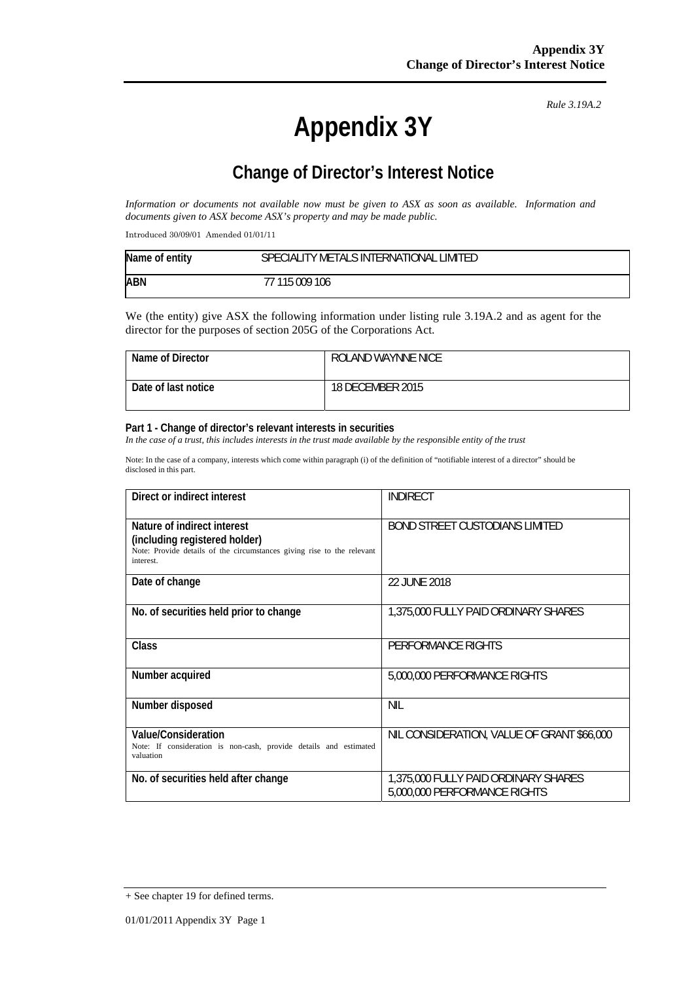# **Appendix 3Y**

*Rule 3.19A.2*

# **Change of Director's Interest Notice**

*Information or documents not available now must be given to ASX as soon as available. Information and documents given to ASX become ASX's property and may be made public.* 

Introduced 30/09/01 Amended 01/01/11

| Name of entity | SPECIALITY METALS INTERNATIONAL LIMITED |
|----------------|-----------------------------------------|
| ABN            | 77 115 009 106                          |

We (the entity) give ASX the following information under listing rule 3.19A.2 and as agent for the director for the purposes of section 205G of the Corporations Act.

| Name of Director    | ROLAND WAYNNE NICE |
|---------------------|--------------------|
| Date of last notice | 18 DECEMBER 2015   |

#### **Part 1 - Change of director's relevant interests in securities**

In the case of a trust, this includes interests in the trust made available by the responsible entity of the trust

Note: In the case of a company, interests which come within paragraph (i) of the definition of "notifiable interest of a director" should be disclosed in this part.

| Direct or indirect interest                                                                                                                         | <b>INDIRECT</b>                                                      |
|-----------------------------------------------------------------------------------------------------------------------------------------------------|----------------------------------------------------------------------|
| Nature of indirect interest<br>(including registered holder)<br>Note: Provide details of the circumstances giving rise to the relevant<br>interest. | <b>BOND STREET CUSTODIANS LIMITED</b>                                |
| Date of change                                                                                                                                      | 22 JUNE 2018                                                         |
| No. of securities held prior to change                                                                                                              | 1,375,000 FULLY PAID ORDINARY SHARES                                 |
| Class                                                                                                                                               | PERFORMANCE RIGHTS                                                   |
| Number acquired                                                                                                                                     | 5,000,000 PERFORMANCE RIGHTS                                         |
| Number disposed                                                                                                                                     | <b>NIL</b>                                                           |
| Value/Consideration<br>Note: If consideration is non-cash, provide details and estimated<br>valuation                                               | NIL CONSIDERATION, VALUE OF GRANT \$66,000                           |
| No. of securities held after change                                                                                                                 | 1,375,000 FULLY PAID ORDINARY SHARES<br>5,000,000 PERFORMANCE RIGHTS |

<sup>+</sup> See chapter 19 for defined terms.